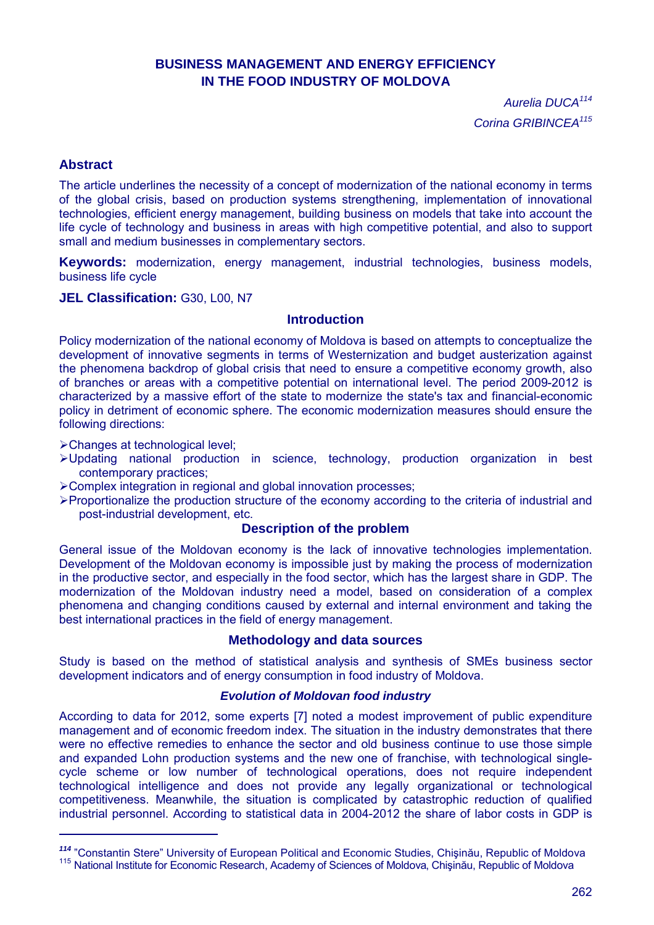# **BUSINESS MANAGEMENT AND ENERGY EFFICIENCY IN THE FOOD INDUSTRY OF MOLDOVA**

*Aurelia DUCA<sup>114</sup> Corina GRIBINCEA<sup>115</sup>*

## **Abstract**

 $\overline{a}$ 

The article underlines the necessity of a concept of modernization of the national economy in terms of the global crisis, based on production systems strengthening, implementation of innovational technologies, efficient energy management, building business on models that take into account the life cycle of technology and business in areas with high competitive potential, and also to support small and medium businesses in complementary sectors.

**Keywords:** modernization, energy management, industrial technologies, business models, business life cycle

**JEL Classification:** G30, L00, N7

### **Introduction**

Policy modernization of the national economy of Moldova is based on attempts to conceptualize the development of innovative segments in terms of Westernization and budget austerization against the phenomena backdrop of global crisis that need to ensure a competitive economy growth, also of branches or areas with a competitive potential on international level. The period 2009-2012 is characterized by a massive effort of the state to modernize the state's tax and financial-economic policy in detriment of economic sphere. The economic modernization measures should ensure the following directions:

Changes at technological level;

- Updating national production in science, technology, production organization in best contemporary practices;
- Complex integration in regional and global innovation processes;
- Proportionalize the production structure of the economy according to the criteria of industrial and post-industrial development, etc.

## **Description of the problem**

General issue of the Moldovan economy is the lack of innovative technologies implementation. Development of the Moldovan economy is impossible just by making the process of modernization in the productive sector, and especially in the food sector, which has the largest share in GDP. The modernization of the Moldovan industry need a model, based on consideration of a complex phenomena and changing conditions caused by external and internal environment and taking the best international practices in the field of energy management.

### **Methodology and data sources**

Study is based on the method of statistical analysis and synthesis of SMEs business sector development indicators and of energy consumption in food industry of Moldova.

### *Evolution of Moldovan food industry*

According to data for 2012, some experts [7] noted a modest improvement of public expenditure management and of economic freedom index. The situation in the industry demonstrates that there were no effective remedies to enhance the sector and old business continue to use those simple and expanded Lohn production systems and the new one of franchise, with technological singlecycle scheme or low number of technological operations, does not require independent technological intelligence and does not provide any legally organizational or technological competitiveness. Meanwhile, the situation is complicated by catastrophic reduction of qualified industrial personnel. According to statistical data in 2004-2012 the share of labor costs in GDP is

*<sup>114</sup>* "Constantin Stere" University of European Political and Economic Studies, Chişinău, Republic of Moldova <sup>115</sup> National Institute for Economic Research, Academy of Sciences of Moldova, Chişinău, Republic of Moldova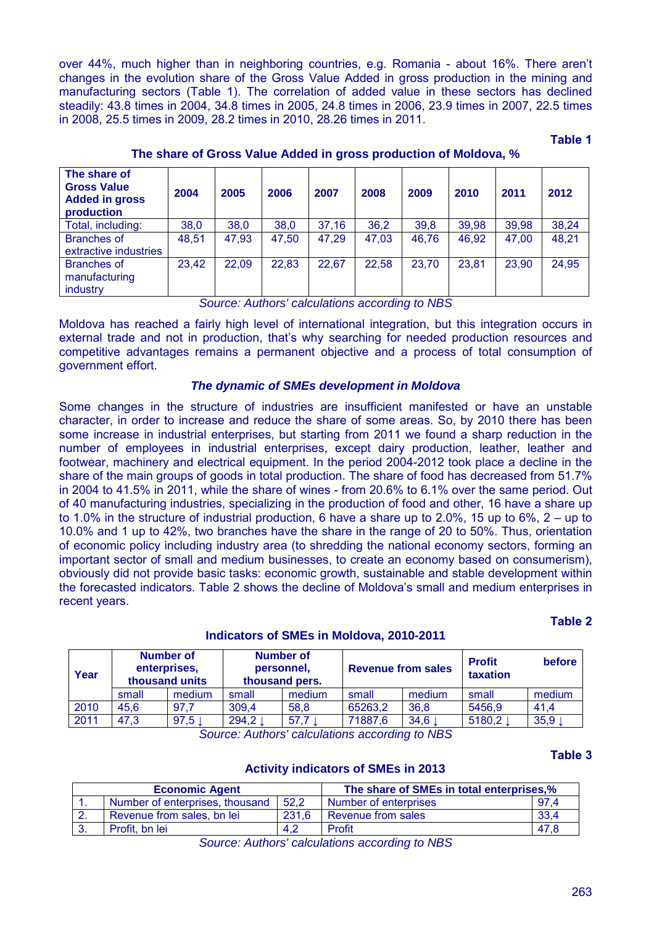over 44%, much higher than in neighboring countries, e.g. Romania - about 16%. There aren't changes in the evolution share of the Gross Value Added in gross production in the mining and manufacturing sectors (Table 1). The correlation of added value in these sectors has declined steadily: 43.8 times in 2004, 34.8 times in 2005, 24.8 times in 2006, 23.9 times in 2007, 22.5 times in 2008, 25.5 times in 2009, 28.2 times in 2010, 28.26 times in 2011.

**Таble 1**

| The share of<br><b>Gross Value</b><br><b>Added in gross</b><br>production | 2004  | 2005  | 2006  | 2007  | 2008  | 2009  | 2010  | 2011  | 2012  |
|---------------------------------------------------------------------------|-------|-------|-------|-------|-------|-------|-------|-------|-------|
| Total, including:                                                         | 38,0  | 38,0  | 38,0  | 37,16 | 36,2  | 39,8  | 39,98 | 39,98 | 38,24 |
| <b>Branches of</b><br>extractive industries                               | 48,51 | 47,93 | 47,50 | 47,29 | 47,03 | 46,76 | 46,92 | 47,00 | 48,21 |
| <b>Branches of</b><br>manufacturing<br>industry                           | 23,42 | 22,09 | 22,83 | 22,67 | 22,58 | 23,70 | 23,81 | 23,90 | 24,95 |

**The share of Gross Value Added in gross production of Moldova, %**

*Source: Authors' calculations according to NBS*

Moldova has reached a fairly high level of international integration, but this integration occurs in external trade and not in production, that's why searching for needed production resources and competitive advantages remains a permanent objective and a process of total consumption of government effort.

### *The dynamic of SMEs development in Moldova*

Some changes in the structure of industries are insufficient manifested or have an unstable character, in order to increase and reduce the share of some areas. So, by 2010 there has been some increase in industrial enterprises, but starting from 2011 we found a sharp reduction in the number of employees in industrial enterprises, except dairy production, leather, leather and footwear, machinery and electrical equipment. In the period 2004-2012 took place a decline in the share of the main groups of goods in total production. The share of food has decreased from 51.7% in 2004 to 41.5% in 2011, while the share of wines - from 20.6% to 6.1% over the same period. Out of 40 manufacturing industries, specializing in the production of food and other, 16 have a share up to 1.0% in the structure of industrial production, 6 have a share up to 2.0%, 15 up to 6%, 2 – up to 10.0% and 1 up to 42%, two branches have the share in the range of 20 to 50%. Thus, orientation of economic policy including industry area (to shredding the national economy sectors, forming an important sector of small and medium businesses, to create an economy based on consumerism), obviously did not provide basic tasks: economic growth, sustainable and stable development within the forecasted indicators. Table 2 shows the decline of Moldova's small and medium enterprises in recent years.

# **Indicators of SMEs in Moldova, 2010-2011**

| Year | Number of<br>enterprises,<br>thousand units |        | Number of<br>personnel.<br>thousand pers. |        | <b>Revenue from sales</b> |        | <b>Profit</b><br>taxation | before |
|------|---------------------------------------------|--------|-------------------------------------------|--------|---------------------------|--------|---------------------------|--------|
|      | small                                       | medium | small                                     | medium |                           | medium | small                     | medium |
| 2010 | 45.6                                        | 97.7   | 309,4                                     | 58,8   | 65263,2                   | 36,8   | 5456,9                    | 41.4   |
| 2011 | 47,3                                        | 97,5   | 294,2                                     | 57,7   | 71887,6                   | 34,6   | 5180,2                    | 35,9   |

*Source: Authors' calculations according to NBS*

### **Таble 3**

**Таble 2** 

### **Activity indicators of SMEs in 2013**

|          | <b>Economic Agent</b>           |       | The share of SMEs in total enterprises,% |      |  |  |  |
|----------|---------------------------------|-------|------------------------------------------|------|--|--|--|
|          | Number of enterprises, thousand | 52.2  | Number of enterprises                    | 97.4 |  |  |  |
| <u>.</u> | Revenue from sales, bn lei      | 231.6 | Revenue from sales                       | 33,4 |  |  |  |
|          | Profit, bn lei                  | 4,2   | Profit                                   | 47.8 |  |  |  |

*Source: Authors' calculations according to NBS*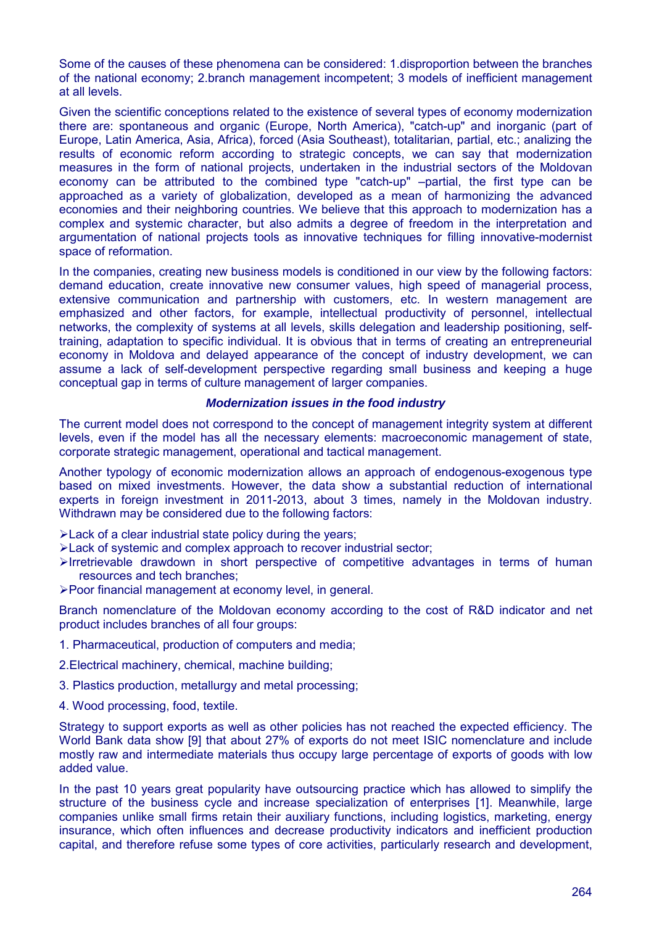Some of the causes of these phenomena can be considered: 1.disproportion between the branches of the national economy; 2.branch management incompetent; 3 models of inefficient management at all levels.

Given the scientific conceptions related to the existence of several types of economy modernization there are: spontaneous and organic (Europe, North America), "catch-up" and inorganic (part of Europe, Latin America, Asia, Africa), forced (Asia Southeast), totalitarian, partial, etc.; analizing the results of economic reform according to strategic concepts, we can say that modernization measures in the form of national projects, undertaken in the industrial sectors of the Moldovan economy can be attributed to the combined type "catch-up" –partial, the first type can be approached as a variety of globalization, developed as a mean of harmonizing the advanced economies and their neighboring countries. We believe that this approach to modernization has a complex and systemic character, but also admits a degree of freedom in the interpretation and argumentation of national projects tools as innovative techniques for filling innovative-modernist space of reformation.

In the companies, creating new business models is conditioned in our view by the following factors: demand education, create innovative new consumer values, high speed of managerial process, extensive communication and partnership with customers, etc. In western management are emphasized and other factors, for example, intellectual productivity of personnel, intellectual networks, the complexity of systems at all levels, skills delegation and leadership positioning, selftraining, adaptation to specific individual. It is obvious that in terms of creating an entrepreneurial economy in Moldova and delayed appearance of the concept of industry development, we can assume a lack of self-development perspective regarding small business and keeping a huge conceptual gap in terms of culture management of larger companies.

#### *Modernization issues in the food industry*

The current model does not correspond to the concept of management integrity system at different levels, even if the model has all the necessary elements: macroeconomic management of state, corporate strategic management, operational and tactical management.

Another typology of economic modernization allows an approach of endogenous-exogenous type based on mixed investments. However, the data show a substantial reduction of international experts in foreign investment in 2011-2013, about 3 times, namely in the Moldovan industry. Withdrawn may be considered due to the following factors:

Eack of a clear industrial state policy during the years;

- Lack of systemic and complex approach to recover industrial sector;
- $\triangleright$ Irretrievable drawdown in short perspective of competitive advantages in terms of human resources and tech branches;
- Poor financial management at economy level, in general.

Branch nomenclature of the Moldovan economy according to the cost of R&D indicator and net product includes branches of all four groups:

- 1. Pharmaceutical, production of computers and media;
- 2.Electrical machinery, chemical, machine building;
- 3. Plastics production, metallurgy and metal processing;
- 4. Wood processing, food, textile.

Strategy to support exports as well as other policies has not reached the expected efficiency. The World Bank data show [9] that about 27% of exports do not meet ISIC nomenclature and include mostly raw and intermediate materials thus occupy large percentage of exports of goods with low added value.

In the past 10 years great popularity have outsourcing practice which has allowed to simplify the structure of the business cycle and increase specialization of enterprises [1]. Meanwhile, large companies unlike small firms retain their auxiliary functions, including logistics, marketing, energy insurance, which often influences and decrease productivity indicators and inefficient production capital, and therefore refuse some types of core activities, particularly research and development,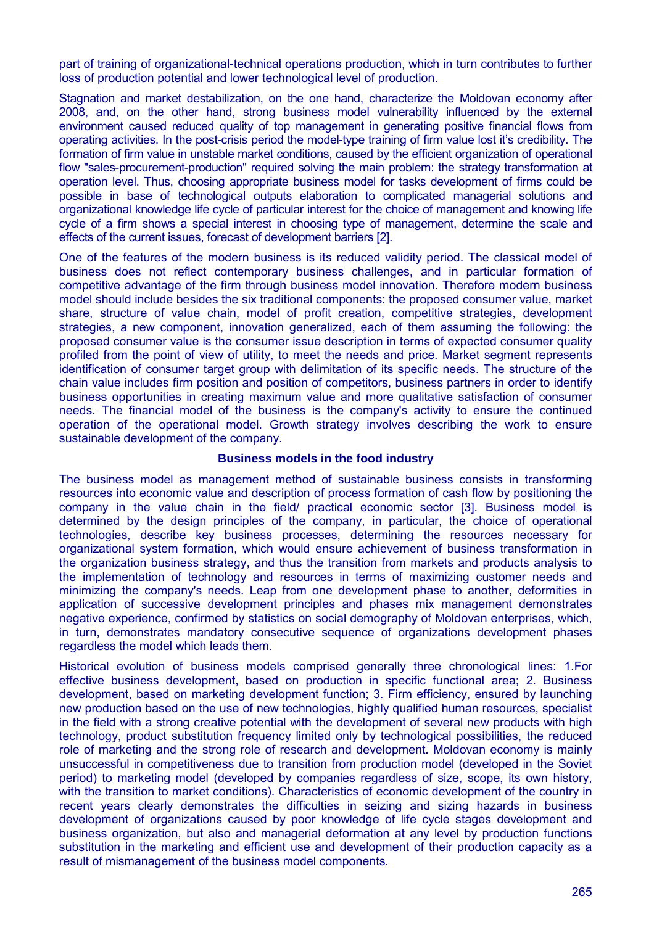part of training of organizational-technical operations production, which in turn contributes to further loss of production potential and lower technological level of production.

Stagnation and market destabilization, on the one hand, characterize the Moldovan economy after 2008, and, on the other hand, strong business model vulnerability influenced by the external environment caused reduced quality of top management in generating positive financial flows from operating activities. In the post-crisis period the model-type training of firm value lost it's credibility. The formation of firm value in unstable market conditions, caused by the efficient organization of operational flow "sales-procurement-production" required solving the main problem: the strategy transformation at operation level. Thus, choosing appropriate business model for tasks development of firms could be possible in base of technological outputs elaboration to complicated managerial solutions and organizational knowledge life cycle of particular interest for the choice of management and knowing life cycle of a firm shows a special interest in choosing type of management, determine the scale and effects of the current issues, forecast of development barriers [2].

One of the features of the modern business is its reduced validity period. The classical model of business does not reflect contemporary business challenges, and in particular formation of competitive advantage of the firm through business model innovation. Therefore modern business model should include besides the six traditional components: the proposed consumer value, market share, structure of value chain, model of profit creation, competitive strategies, development strategies, a new component, innovation generalized, each of them assuming the following: the proposed consumer value is the consumer issue description in terms of expected consumer quality profiled from the point of view of utility, to meet the needs and price. Market segment represents identification of consumer target group with delimitation of its specific needs. The structure of the chain value includes firm position and position of competitors, business partners in order to identify business opportunities in creating maximum value and more qualitative satisfaction of consumer needs. The financial model of the business is the company's activity to ensure the continued operation of the operational model. Growth strategy involves describing the work to ensure sustainable development of the company.

#### **Business models in the food industry**

The business model as management method of sustainable business consists in transforming resources into economic value and description of process formation of cash flow by positioning the company in the value chain in the field/ practical economic sector [3]. Business model is determined by the design principles of the company, in particular, the choice of operational technologies, describe key business processes, determining the resources necessary for organizational system formation, which would ensure achievement of business transformation in the organization business strategy, and thus the transition from markets and products analysis to the implementation of technology and resources in terms of maximizing customer needs and minimizing the company's needs. Leap from one development phase to another, deformities in application of successive development principles and phases mix management demonstrates negative experience, confirmed by statistics on social demography of Moldovan enterprises, which, in turn, demonstrates mandatory consecutive sequence of organizations development phases regardless the model which leads them.

Historical evolution of business models comprised generally three chronological lines: 1.For effective business development, based on production in specific functional area; 2. Business development, based on marketing development function; 3. Firm efficiency, ensured by launching new production based on the use of new technologies, highly qualified human resources, specialist in the field with a strong creative potential with the development of several new products with high technology, product substitution frequency limited only by technological possibilities, the reduced role of marketing and the strong role of research and development. Moldovan economy is mainly unsuccessful in competitiveness due to transition from production model (developed in the Soviet period) to marketing model (developed by companies regardless of size, scope, its own history, with the transition to market conditions). Characteristics of economic development of the country in recent years clearly demonstrates the difficulties in seizing and sizing hazards in business development of organizations caused by poor knowledge of life cycle stages development and business organization, but also and managerial deformation at any level by production functions substitution in the marketing and efficient use and development of their production capacity as a result of mismanagement of the business model components.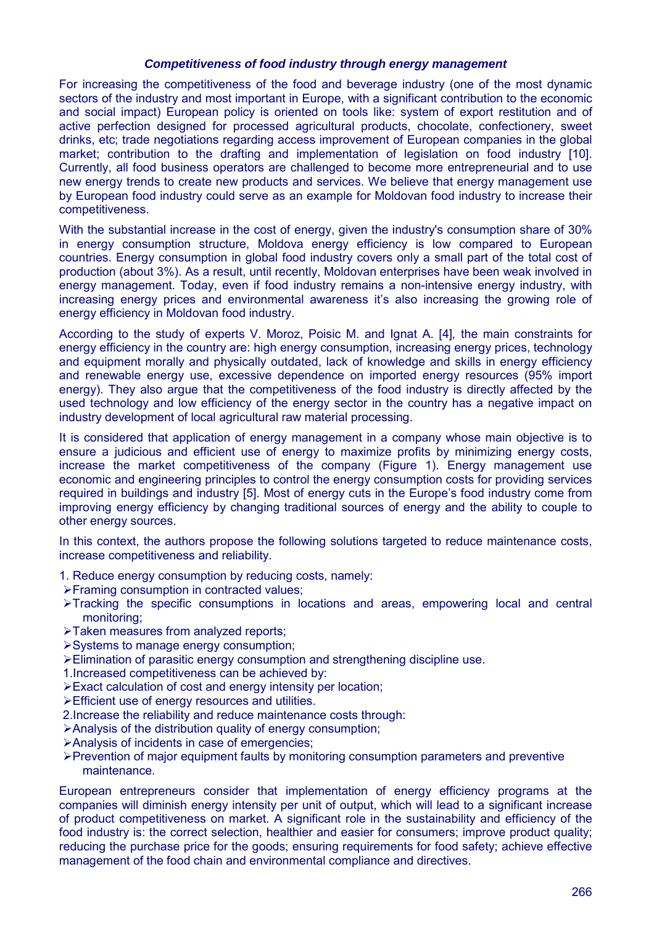### *Competitiveness of food industry through energy management*

For increasing the competitiveness of the food and beverage industry (one of the most dynamic sectors of the industry and most important in Europe, with a significant contribution to the economic and social impact) European policy is oriented on tools like: system of export restitution and of active perfection designed for processed agricultural products, chocolate, confectionery, sweet drinks, etc; trade negotiations regarding access improvement of European companies in the global market; contribution to the drafting and implementation of legislation on food industry [10]. Currently, all food business operators are challenged to become more entrepreneurial and to use new energy trends to create new products and services. We believe that energy management use by European food industry could serve as an example for Moldovan food industry to increase their competitiveness.

With the substantial increase in the cost of energy, given the industry's consumption share of 30% in energy consumption structure, Moldova energy efficiency is low compared to European countries. Energy consumption in global food industry covers only a small part of the total cost of production (about 3%). As a result, until recently, Moldovan enterprises have been weak involved in energy management. Today, even if food industry remains a non-intensive energy industry, with increasing energy prices and environmental awareness it's also increasing the growing role of energy efficiency in Moldovan food industry.

According to the study of experts V. Moroz, Poisic M. and Ignat A. [4]*,* the main constraints for energy efficiency in the country are: high energy consumption, increasing energy prices, technology and equipment morally and physically outdated, lack of knowledge and skills in energy efficiency and renewable energy use, excessive dependence on imported energy resources (95% import energy). They also argue that the competitiveness of the food industry is directly affected by the used technology and low efficiency of the energy sector in the country has a negative impact on industry development of local agricultural raw material processing.

It is considered that application of energy management in a company whose main objective is to ensure a judicious and efficient use of energy to maximize profits by minimizing energy costs, increase the market competitiveness of the company (Figure 1). Energy management use economic and engineering principles to control the energy consumption costs for providing services required in buildings and industry [5]. Most of energy cuts in the Europe's food industry come from improving energy efficiency by changing traditional sources of energy and the ability to couple to other energy sources.

In this context, the authors propose the following solutions targeted to reduce maintenance costs, increase competitiveness and reliability.

- 1. Reduce energy consumption by reducing costs, namely:
- Framing consumption in contracted values;
- $\triangleright$ Tracking the specific consumptions in locations and areas, empowering local and central monitoring;
- >Taken measures from analyzed reports:
- Systems to manage energy consumption;
- Elimination of parasitic energy consumption and strengthening discipline use.
- 1.Increased competitiveness can be achieved by:
- Exact calculation of cost and energy intensity per location;
- Efficient use of energy resources and utilities.
- 2.Increase the reliability and reduce maintenance costs through:
- Analysis of the distribution quality of energy consumption;
- Analysis of incidents in case of emergencies;
- $\triangleright$  Prevention of major equipment faults by monitoring consumption parameters and preventive maintenance.

European entrepreneurs consider that implementation of energy efficiency programs at the companies will diminish energy intensity per unit of output, which will lead to a significant increase of product competitiveness on market. A significant role in the sustainability and efficiency of the food industry is: the correct selection, healthier and easier for consumers; improve product quality; reducing the purchase price for the goods; ensuring requirements for food safety; achieve effective management of the food chain and environmental compliance and directives.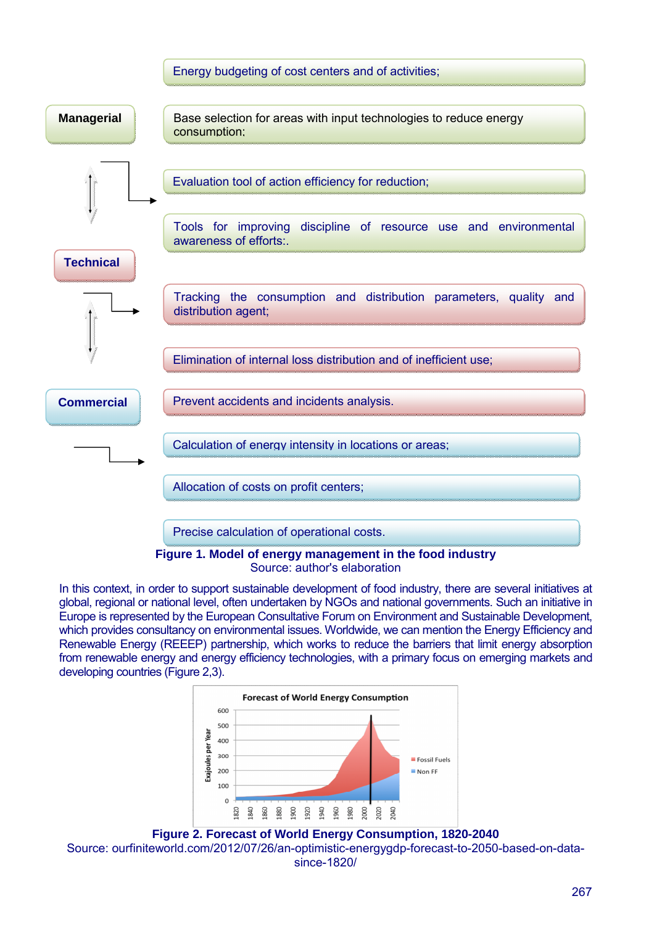

Source: author's elaboration

In this context, in order to support sustainable development of food industry, there are several initiatives at global, regional or national level, often undertaken by NGOs and national governments. Such an initiative in Europe is represented by the European Consultative Forum on Environment and Sustainable Development, which provides consultancy on environmental issues. Worldwide, we can mention the Energy Efficiency and Renewable Energy (REEEP) partnership, which works to reduce the barriers that limit energy absorption from renewable energy and energy efficiency technologies, with a primary focus on emerging markets and developing countries (Figure 2,3).



**Figure 2. Forecast of World Energy Consumption, 1820-2040** Source: ourfiniteworld.com/2012/07/26/an-optimistic-energygdp-forecast-to-2050-based-on-datasince-1820/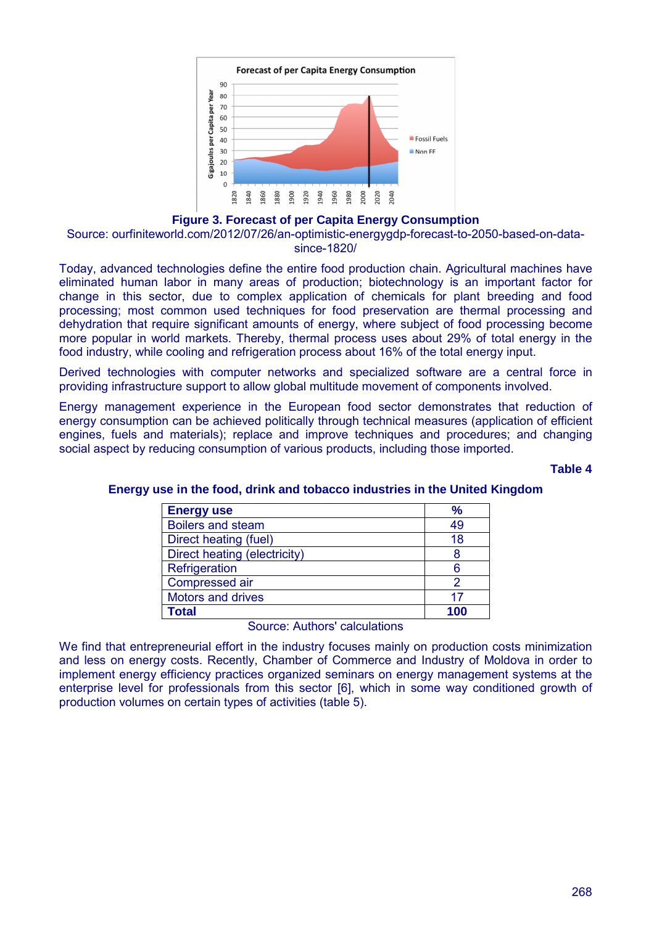

### **Figure 3. Forecast of per Capita Energy Consumption**

Source: ourfiniteworld.com/2012/07/26/an-optimistic-energygdp-forecast-to-2050-based-on-datasince-1820/

Today, advanced technologies define the entire food production chain. Agricultural machines have eliminated human labor in many areas of production; biotechnology is an important factor for change in this sector, due to complex application of chemicals for plant breeding and food processing; most common used techniques for food preservation are thermal processing and dehydration that require significant amounts of energy, where subject of food processing become more popular in world markets. Thereby, thermal process uses about 29% of total energy in the food industry, while cooling and refrigeration process about 16% of the total energy input.

Derived technologies with computer networks and specialized software are a central force in providing infrastructure support to allow global multitude movement of components involved.

Energy management experience in the European food sector demonstrates that reduction of energy consumption can be achieved politically through technical measures (application of efficient engines, fuels and materials); replace and improve techniques and procedures; and changing social aspect by reducing consumption of various products, including those imported.

#### **Table 4**

| <b>Energy use</b>            | $\frac{9}{6}$ |
|------------------------------|---------------|
| <b>Boilers and steam</b>     | 49            |
| Direct heating (fuel)        | 18            |
| Direct heating (electricity) | 8             |
| Refrigeration                | 6             |
| Compressed air               |               |
| Motors and drives            | 17            |
| <b>Total</b>                 | 1በር           |

### **Energy use in the food, drink and tobacco industries in the United Kingdom**

Source: Authors' calculations

We find that entrepreneurial effort in the industry focuses mainly on production costs minimization and less on energy costs. Recently, Chamber of Commerce and Industry of Moldova in order to implement energy efficiency practices organized seminars on energy management systems at the enterprise level for professionals from this sector [6], which in some way conditioned growth of production volumes on certain types of activities (table 5).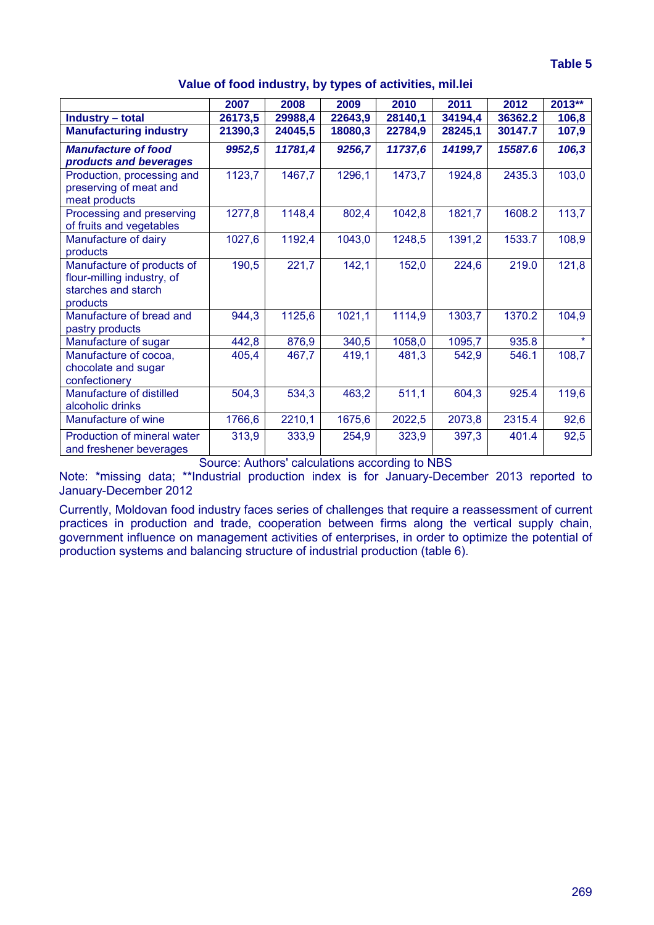### **Value of food industry, by types of activities, mil.lei**

|                                                                                             | 2007    | 2008    | 2009    | 2010    | 2011    | 2012    | $2013**$ |
|---------------------------------------------------------------------------------------------|---------|---------|---------|---------|---------|---------|----------|
| <b>Industry – total</b>                                                                     | 26173,5 | 29988,4 | 22643,9 | 28140,1 | 34194,4 | 36362.2 | 106,8    |
| <b>Manufacturing industry</b>                                                               | 21390,3 | 24045,5 | 18080,3 | 22784,9 | 28245,1 | 30147.7 | 107,9    |
| <b>Manufacture of food</b>                                                                  | 9952,5  | 11781,4 | 9256,7  | 11737,6 | 14199,7 | 15587.6 | 106,3    |
| products and beverages                                                                      |         |         |         |         |         |         |          |
| Production, processing and<br>preserving of meat and<br>meat products                       | 1123,7  | 1467,7  | 1296,1  | 1473,7  | 1924,8  | 2435.3  | 103,0    |
| Processing and preserving<br>of fruits and vegetables                                       | 1277,8  | 1148,4  | 802,4   | 1042,8  | 1821,7  | 1608.2  | 113,7    |
| Manufacture of dairy<br>products                                                            | 1027,6  | 1192,4  | 1043,0  | 1248,5  | 1391,2  | 1533.7  | 108,9    |
| Manufacture of products of<br>flour-milling industry, of<br>starches and starch<br>products | 190,5   | 221,7   | 142,1   | 152,0   | 224,6   | 219.0   | 121,8    |
| Manufacture of bread and<br>pastry products                                                 | 944,3   | 1125,6  | 1021,1  | 1114,9  | 1303,7  | 1370.2  | 104,9    |
| Manufacture of sugar                                                                        | 442,8   | 876,9   | 340,5   | 1058,0  | 1095,7  | 935.8   | $\star$  |
| Manufacture of cocoa,<br>chocolate and sugar<br>confectionery                               | 405,4   | 467,7   | 419,1   | 481,3   | 542,9   | 546.1   | 108,7    |
| Manufacture of distilled<br>alcoholic drinks                                                | 504,3   | 534,3   | 463,2   | 511,1   | 604,3   | 925.4   | 119,6    |
| Manufacture of wine                                                                         | 1766,6  | 2210,1  | 1675,6  | 2022,5  | 2073,8  | 2315.4  | 92,6     |
| Production of mineral water<br>and freshener beverages                                      | 313,9   | 333,9   | 254,9   | 323,9   | 397,3   | 401.4   | 92,5     |

Source: Authors' calculations according to NBS

Note: \*missing data; \*\*Industrial production index is for January-December 2013 reported to January-December 2012

Currently, Moldovan food industry faces series of challenges that require a reassessment of current practices in production and trade, cooperation between firms along the vertical supply chain, government influence on management activities of enterprises, in order to optimize the potential of production systems and balancing structure of industrial production (table 6).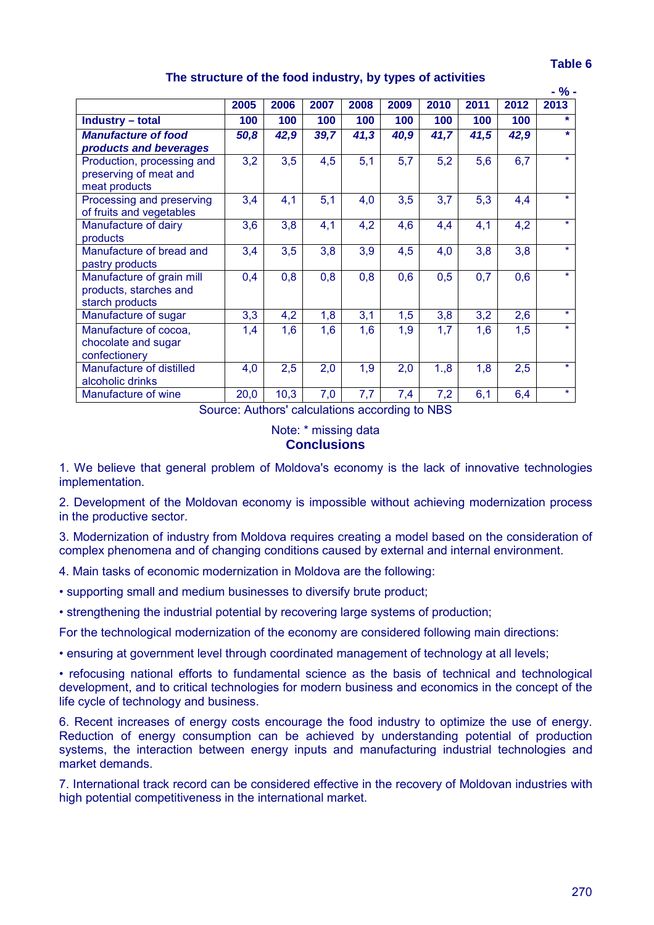270

# **The structure of the food industry, by types of activities**

|                            |      |      |      |      |      |      |      |      | - % -   |
|----------------------------|------|------|------|------|------|------|------|------|---------|
|                            | 2005 | 2006 | 2007 | 2008 | 2009 | 2010 | 2011 | 2012 | 2013    |
| Industry - total           | 100  | 100  | 100  | 100  | 100  | 100  | 100  | 100  | $\star$ |
| <b>Manufacture of food</b> | 50,8 | 42,9 | 39,7 | 41,3 | 40,9 | 41,7 | 41,5 | 42,9 | $\star$ |
| products and beverages     |      |      |      |      |      |      |      |      |         |
| Production, processing and | 3,2  | 3,5  | 4,5  | 5,1  | 5,7  | 5,2  | 5,6  | 6,7  | $\star$ |
| preserving of meat and     |      |      |      |      |      |      |      |      |         |
| meat products              |      |      |      |      |      |      |      |      |         |
| Processing and preserving  | 3,4  | 4,1  | 5,1  | 4,0  | 3,5  | 3,7  | 5,3  | 4,4  | ÷       |
| of fruits and vegetables   |      |      |      |      |      |      |      |      |         |
| Manufacture of dairy       | 3,6  | 3,8  | 4,1  | 4,2  | 4,6  | 4,4  | 4,1  | 4,2  | $\star$ |
| products                   |      |      |      |      |      |      |      |      |         |
| Manufacture of bread and   | 3,4  | 3,5  | 3,8  | 3,9  | 4,5  | 4,0  | 3,8  | 3,8  | $\star$ |
| pastry products            |      |      |      |      |      |      |      |      |         |
| Manufacture of grain mill  | 0,4  | 0,8  | 0,8  | 0,8  | 0,6  | 0,5  | 0,7  | 0,6  | $\star$ |
| products, starches and     |      |      |      |      |      |      |      |      |         |
| starch products            |      |      |      |      |      |      |      |      |         |
| Manufacture of sugar       | 3,3  | 4,2  | 1,8  | 3,1  | 1,5  | 3,8  | 3,2  | 2,6  | $\star$ |
| Manufacture of cocoa,      | 1,4  | 1,6  | 1,6  | 1,6  | 1,9  | 1,7  | 1,6  | 1,5  | $\star$ |
| chocolate and sugar        |      |      |      |      |      |      |      |      |         |
| confectionery              |      |      |      |      |      |      |      |      |         |
| Manufacture of distilled   | 4,0  | 2,5  | 2,0  | 1,9  | 2,0  | 1.,8 | 1,8  | 2,5  | $\star$ |
| alcoholic drinks           |      |      |      |      |      |      |      |      |         |
| Manufacture of wine        | 20,0 | 10,3 | 7,0  | 7,7  | 7,4  | 7,2  | 6,1  | 6,4  | $\star$ |

Source: Authors' calculations according to NBS

Note: \* missing data **Conclusions**

1. We believe that general problem of Moldova's economy is the lack of innovative technologies implementation.

2. Development of the Moldovan economy is impossible without achieving modernization process in the productive sector.

3. Modernization of industry from Moldova requires creating a model based on the consideration of complex phenomena and of changing conditions caused by external and internal environment.

4. Main tasks of economic modernization in Moldova are the following:

• supporting small and medium businesses to diversify brute product;

• strengthening the industrial potential by recovering large systems of production;

For the technological modernization of the economy are considered following main directions:

• ensuring at government level through coordinated management of technology at all levels;

• refocusing national efforts to fundamental science as the basis of technical and technological development, and to critical technologies for modern business and economics in the concept of the life cycle of technology and business.

6. Recent increases of energy costs encourage the food industry to optimize the use of energy. Reduction of energy consumption can be achieved by understanding potential of production systems, the interaction between energy inputs and manufacturing industrial technologies and market demands.

7. International track record can be considered effective in the recovery of Moldovan industries with high potential competitiveness in the international market.

#### **Table 6**